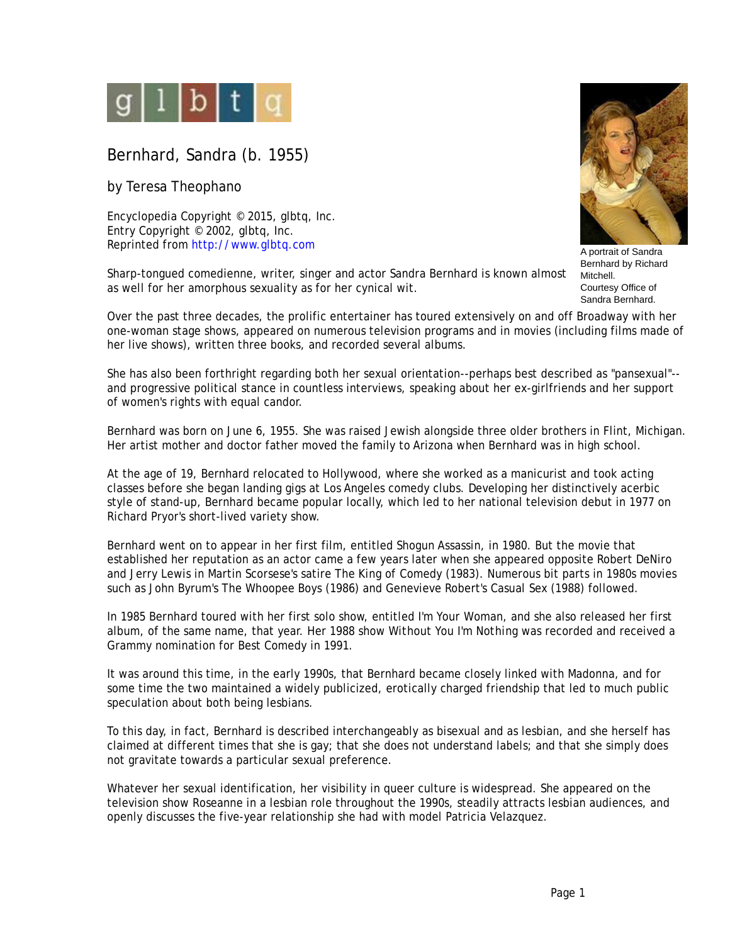

Bernhard, Sandra (b. 1955)

by Teresa Theophano

Encyclopedia Copyright © 2015, glbtq, Inc. Entry Copyright © 2002, glbtq, Inc. Reprinted from<http://www.glbtq.com>

Sharp-tongued comedienne, writer, singer and actor Sandra Bernhard is known almost as well for her amorphous sexuality as for her cynical wit.



Over the past three decades, the prolific entertainer has toured extensively on and off Broadway with her one-woman stage shows, appeared on numerous television programs and in movies (including films made of her live shows), written three books, and recorded several albums.

She has also been forthright regarding both her sexual orientation--perhaps best described as "pansexual"- and progressive political stance in countless interviews, speaking about her ex-girlfriends and her support of women's rights with equal candor.

Bernhard was born on June 6, 1955. She was raised Jewish alongside three older brothers in Flint, Michigan. Her artist mother and doctor father moved the family to Arizona when Bernhard was in high school.

At the age of 19, Bernhard relocated to Hollywood, where she worked as a manicurist and took acting classes before she began landing gigs at Los Angeles comedy clubs. Developing her distinctively acerbic style of stand-up, Bernhard became popular locally, which led to her national television debut in 1977 on Richard Pryor's short-lived variety show.

Bernhard went on to appear in her first film, entitled *Shogun Assassin*, in 1980. But the movie that established her reputation as an actor came a few years later when she appeared opposite Robert DeNiro and Jerry Lewis in Martin Scorsese's satire *The King of Comedy* (1983). Numerous bit parts in 1980s movies such as John Byrum's *The Whoopee Boys* (1986) and Genevieve Robert's *Casual Sex* (1988) followed.

In 1985 Bernhard toured with her first solo show, entitled *I'm Your Woman*, and she also released her first album, of the same name, that year. Her 1988 show *Without You I'm Nothing* was recorded and received a Grammy nomination for Best Comedy in 1991.

It was around this time, in the early 1990s, that Bernhard became closely linked with Madonna, and for some time the two maintained a widely publicized, erotically charged friendship that led to much public speculation about both being lesbians.

To this day, in fact, Bernhard is described interchangeably as bisexual and as lesbian, and she herself has claimed at different times that she is gay; that she does not understand labels; and that she simply does not gravitate towards a particular sexual preference.

Whatever her sexual identification, her visibility in queer culture is widespread. She appeared on the television show *Roseanne* in a lesbian role throughout the 1990s, steadily attracts lesbian audiences, and openly discusses the five-year relationship she had with model Patricia Velazquez.



A portrait of Sandra Bernhard by Richard Mitchell. Courtesy Office of Sandra Bernhard.